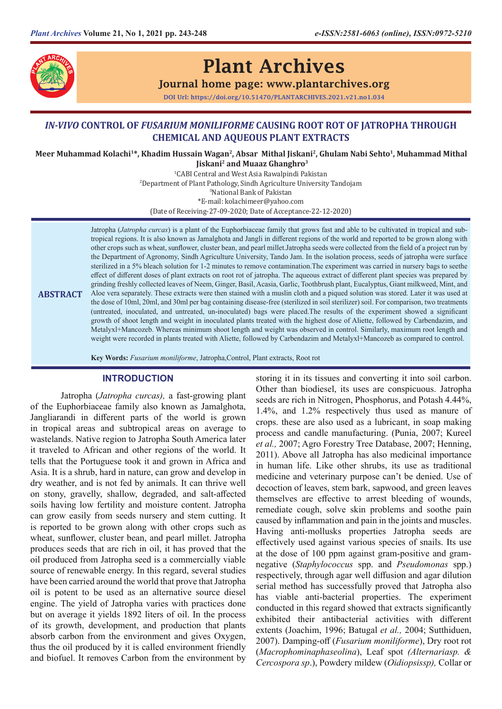

# Plant Archives

## Journal home page: www.plantarchives.org

DOI Url: https://doi.org/10.51470/PLANTARCHIVES.2021.v21.no1.034

# *IN-VIVO* **CONTROL OF** *FUSARIUM MONILIFORME* **CAUSING ROOT ROT OF JATROPHA THROUGH CHEMICAL AND AQUEOUS PLANT EXTRACTS**

**Meer Muhammad Kolachi<sup>1</sup> \*, Khadim Hussain Wagan<sup>2</sup> , Absar Mithal Jiskani<sup>2</sup> , Ghulam Nabi Sehto<sup>1</sup> , Muhammad Mithal Jiskani<sup>2</sup> and Muaaz Ghanghro3**

> 1 CABI Central and West Asia Rawalpindi Pakistan 2 Department of Plant Pathology, Sindh Agriculture University Tandojam 3 National Bank of Pakistan \*E-mail: kolachimeer@yahoo.com (Date of Receiving-27-09-2020; Date of Acceptance-22-12-2020)

**ABSTRACT** Jatropha (*Jatropha curcas*) is a plant of the Euphorbiaceae family that grows fast and able to be cultivated in tropical and subtropical regions. It is also known as Jamalghota and Jangli in different regions of the world and reported to be grown along with other crops such as wheat, sunflower, cluster bean, and pearl millet.Jatropha seeds were collected from the field of a project run by the Department of Agronomy, Sindh Agriculture University, Tando Jam. In the isolation process, seeds of jatropha were surface sterilized in a 5% bleach solution for 1-2 minutes to remove contamination.The experiment was carried in nursery bags to seethe effect of different doses of plant extracts on root rot of jatropha. The aqueous extract of different plant species was prepared by grinding freshly collected leaves of Neem, Ginger, Basil, Acasia, Garlic, Toothbrush plant, Eucalyptus, Giant milkweed, Mint, and Aloe vera separately. These extracts were then stained with a muslin cloth and a piqued solution was stored. Later it was used at the dose of 10ml, 20ml, and 30ml per bag containing disease-free (sterilized in soil sterilizer) soil. For comparison, two treatments (untreated, inoculated, and untreated, un-inoculated) bags were placed.The results of the experiment showed a significant growth of shoot length and weight in inoculated plants treated with the highest dose of Aliette, followed by Carbendazim, and Metalyxl+Mancozeb. Whereas minimum shoot length and weight was observed in control. Similarly, maximum root length and weight were recorded in plants treated with Aliette, followed by Carbendazim and Metalyxl+Mancozeb as compared to control.

**Key Words:** *Fusarium moniliforme*, Jatropha,Control, Plant extracts, Root rot

### **INTRODUCTION**

Jatropha (*Jatropha curcas),* a fast-growing plant of the Euphorbiaceae family also known as Jamalghota, Jangliarandi in different parts of the world is grown in tropical areas and subtropical areas on average to wastelands. Native region to Jatropha South America later it traveled to African and other regions of the world. It tells that the Portuguese took it and grown in Africa and Asia. It is a shrub, hard in nature, can grow and develop in dry weather, and is not fed by animals. It can thrive well on stony, gravelly, shallow, degraded, and salt-affected soils having low fertility and moisture content. Jatropha can grow easily from seeds nursery and stem cutting. It is reported to be grown along with other crops such as wheat, sunflower, cluster bean, and pearl millet. Jatropha produces seeds that are rich in oil, it has proved that the oil produced from Jatropha seed is a commercially viable source of renewable energy. In this regard, several studies have been carried around the world that prove that Jatropha oil is potent to be used as an alternative source diesel engine. The yield of Jatropha varies with practices done but on average it yields 1892 liters of oil. In the process of its growth, development, and production that plants absorb carbon from the environment and gives Oxygen, thus the oil produced by it is called environment friendly and biofuel. It removes Carbon from the environment by

storing it in its tissues and converting it into soil carbon. Other than biodiesel, its uses are conspicuous. Jatropha seeds are rich in Nitrogen, Phosphorus, and Potash 4.44%, 1.4%, and 1.2% respectively thus used as manure of crops. these are also used as a lubricant, in soap making process and candle manufacturing. (Punia, 2007; Kureel *et al.,* 2007; Agro Forestry Tree Database, 2007; Henning, 2011). Above all Jatropha has also medicinal importance in human life. Like other shrubs, its use as traditional medicine and veterinary purpose can't be denied. Use of decoction of leaves, stem bark, sapwood, and green leaves themselves are effective to arrest bleeding of wounds, remediate cough, solve skin problems and soothe pain caused by inflammation and pain in the joints and muscles. Having anti-mollusks properties Jatropha seeds are effectively used against various species of snails. Its use at the dose of 100 ppm against gram-positive and gramnegative (*Staphylococcus* spp. and *Pseudomonas* spp.) respectively, through agar well diffusion and agar dilution serial method has successfully proved that Jatropha also has viable anti-bacterial properties. The experiment conducted in this regard showed that extracts significantly exhibited their antibacterial activities with different extents (Joachim, 1996; Batugal *et al.,* 2004; Sutthiduen, 2007). Damping-off (*Fusarium moniliforme*), Dry root rot (*Macrophominaphaseolina*), Leaf spot *(Alternariasp. & Cercospora sp*.), Powdery mildew (*Oidiopsissp),* Collar or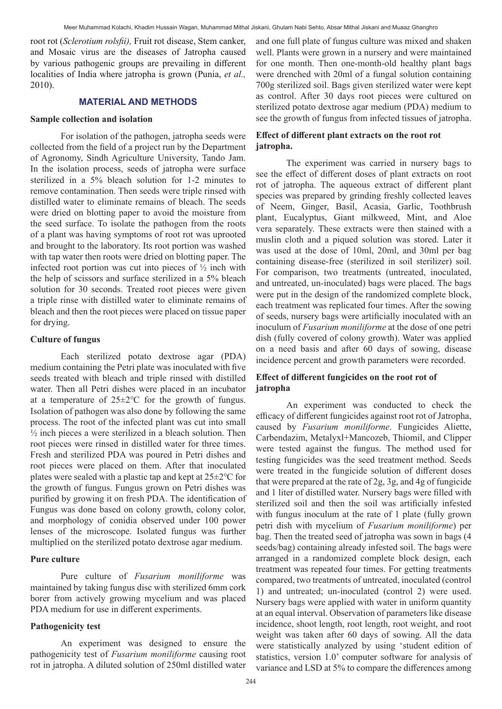root rot (*Sclerotium rolsfii),* Fruit rot disease, Stem canker, and Mosaic virus are the diseases of Jatropha caused by various pathogenic groups are prevailing in different localities of India where jatropha is grown (Punia, *et al.,*  2010).

## **MATERIAL AND METHODS**

#### **Sample collection and isolation**

For isolation of the pathogen, jatropha seeds were collected from the field of a project run by the Department of Agronomy, Sindh Agriculture University, Tando Jam. In the isolation process, seeds of jatropha were surface sterilized in a 5% bleach solution for 1-2 minutes to remove contamination. Then seeds were triple rinsed with distilled water to eliminate remains of bleach. The seeds were dried on blotting paper to avoid the moisture from the seed surface. To isolate the pathogen from the roots of a plant was having symptoms of root rot was uprooted and brought to the laboratory. Its root portion was washed with tap water then roots were dried on blotting paper. The infected root portion was cut into pieces of ½ inch with the help of scissors and surface sterilized in a 5% bleach solution for 30 seconds. Treated root pieces were given a triple rinse with distilled water to eliminate remains of bleach and then the root pieces were placed on tissue paper for drying.

#### **Culture of fungus**

Each sterilized potato dextrose agar (PDA) medium containing the Petri plate was inoculated with five seeds treated with bleach and triple rinsed with distilled water. Then all Petri dishes were placed in an incubator at a temperature of 25±2℃ for the growth of fungus. Isolation of pathogen was also done by following the same process. The root of the infected plant was cut into small  $\frac{1}{2}$  inch pieces a were sterilized in a bleach solution. Then root pieces were rinsed in distilled water for three times. Fresh and sterilized PDA was poured in Petri dishes and root pieces were placed on them. After that inoculated plates were sealed with a plastic tap and kept at 25±2℃ for the growth of fungus. Fungus grown on Petri dishes was purified by growing it on fresh PDA. The identification of Fungus was done based on colony growth, colony color, and morphology of conidia observed under 100 power lenses of the microscope. Isolated fungus was further multiplied on the sterilized potato dextrose agar medium.

#### **Pure culture**

Pure culture of *Fusarium moniliforme* was maintained by taking fungus disc with sterilized 6mm cork borer from actively growing mycelium and was placed PDA medium for use in different experiments.

#### **Pathogenicity test**

An experiment was designed to ensure the pathogenicity test of *Fusarium moniliforme* causing root rot in jatropha. A diluted solution of 250ml distilled water and one full plate of fungus culture was mixed and shaken well. Plants were grown in a nursery and were maintained for one month. Then one-month-old healthy plant bags were drenched with 20ml of a fungal solution containing 700g sterilized soil. Bags given sterilized water were kept as control. After 30 days root pieces were cultured on sterilized potato dextrose agar medium (PDA) medium to see the growth of fungus from infected tissues of jatropha.

# **Effect of different plant extracts on the root rot jatropha.**

The experiment was carried in nursery bags to see the effect of different doses of plant extracts on root rot of jatropha. The aqueous extract of different plant species was prepared by grinding freshly collected leaves of Neem, Ginger, Basil, Acasia, Garlic, Toothbrush plant, Eucalyptus, Giant milkweed, Mint, and Aloe vera separately. These extracts were then stained with a muslin cloth and a piqued solution was stored. Later it was used at the dose of 10ml, 20ml, and 30ml per bag containing disease-free (sterilized in soil sterilizer) soil. For comparison, two treatments (untreated, inoculated, and untreated, un-inoculated) bags were placed. The bags were put in the design of the randomized complete block, each treatment was replicated four times. After the sowing of seeds, nursery bags were artificially inoculated with an inoculum of *Fusarium moniliforme* at the dose of one petri dish (fully covered of colony growth). Water was applied on a need basis and after 60 days of sowing, disease incidence percent and growth parameters were recorded.

# **Effect of different fungicides on the root rot of jatropha**

An experiment was conducted to check the efficacy of different fungicides against root rot of Jatropha, caused by *Fusarium moniliforme*. Fungicides Aliette, Carbendazim, Metalyxl+Mancozeb, Thiomil, and Clipper were tested against the fungus. The method used for testing fungicides was the seed treatment method. Seeds were treated in the fungicide solution of different doses that were prepared at the rate of 2g, 3g, and 4g of fungicide and 1 liter of distilled water. Nursery bags were filled with sterilized soil and then the soil was artificially infested with fungus inoculum at the rate of 1 plate (fully grown petri dish with mycelium of *Fusarium moniliforme*) per bag. Then the treated seed of jatropha was sown in bags (4 seeds/bag) containing already infested soil. The bags were arranged in a randomized complete block design, each treatment was repeated four times. For getting treatments compared, two treatments of untreated, inoculated (control 1) and untreated; un-inoculated (control 2) were used. Nursery bags were applied with water in uniform quantity at an equal interval. Observation of parameters like disease incidence, shoot length, root length, root weight, and root weight was taken after 60 days of sowing. All the data were statistically analyzed by using 'student edition of statistics, version 1.0' computer software for analysis of variance and LSD at 5% to compare the differences among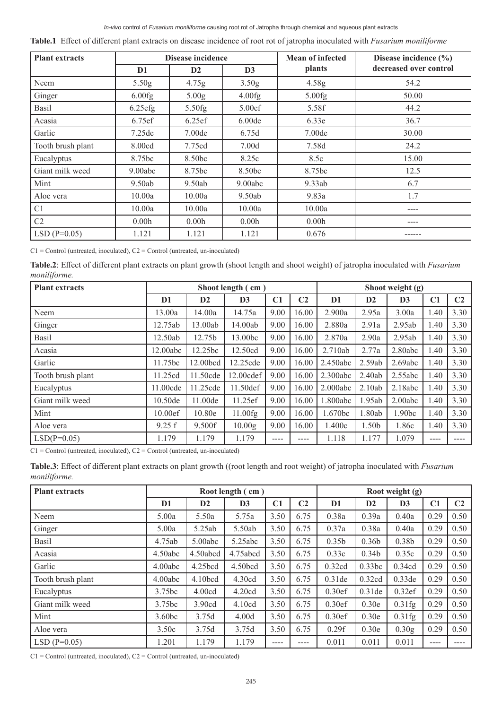#### *In-vivo* control of *Fusarium moniliforme* causing root rot of Jatropha through chemical and aqueous plant extracts

|  | Table.1 Effect of different plant extracts on disease incidence of root rot of jatropha inoculated with Fusarium moniliforme |  |  |  |  |  |
|--|------------------------------------------------------------------------------------------------------------------------------|--|--|--|--|--|
|--|------------------------------------------------------------------------------------------------------------------------------|--|--|--|--|--|

| <b>Plant extracts</b> |                    | Disease incidence  |                    | <b>Mean of infected</b> | Disease incidence $(\% )$ |  |  |
|-----------------------|--------------------|--------------------|--------------------|-------------------------|---------------------------|--|--|
|                       | D <sub>1</sub>     | D2                 | D3                 | plants                  | decreased over control    |  |  |
| Neem                  | 5.50 <sub>g</sub>  | 4.75g              | 3.50 <sub>g</sub>  | 4.58 <sub>g</sub>       | 54.2                      |  |  |
| Ginger                | 6.00fg             | 5.00 <sub>g</sub>  | 4.00fg             | 5.00fg                  | 50.00                     |  |  |
| Basil                 | $6.25$ efg         | 5.50fg             | 5.00ef             | 5.58f                   | 44.2                      |  |  |
| Acasia                | 6.75ef             | 6.25ef             | 6.00 <sub>de</sub> | 6.33e                   | 36.7                      |  |  |
| Garlic                | 7.25 <sub>de</sub> | 7.00 <sub>de</sub> | 6.75d              | 7.00 <sub>de</sub>      | 30.00                     |  |  |
| Tooth brush plant     | 8.00cd             | 7.75cd             | 7.00 <sub>d</sub>  | 7.58d                   | 24.2                      |  |  |
| Eucalyptus            | 8.75bc             | 8.50bc             | 8.25c              | 8.5c                    | 15.00                     |  |  |
| Giant milk weed       | 9.00abc            | 8.75bc             | 8.50bc             | 8.75bc                  | 12.5                      |  |  |
| Mint                  | 9.50ab             | 9.50ab             | 9.00abc            | 9.33ab                  | 6.7                       |  |  |
| Aloe vera             | 10.00a             | 10.00a             | 9.50ab             | 9.83a                   | 1.7                       |  |  |
| C <sub>1</sub>        | 10.00a             | 10.00a             | 10.00a             | 10.00a                  |                           |  |  |
| C2                    | 0.00 <sub>h</sub>  | 0.00 <sub>h</sub>  | 0.00 <sub>h</sub>  | 0.00h                   |                           |  |  |
| $LSD(P=0.05)$         | 1.121              | 1.121              | 1.121              | 0.676                   | ------                    |  |  |

 $Cl =$  Control (untreated, inoculated),  $Cl =$  Control (untreated, un-inoculated)

**Table.2**: Effect of different plant extracts on plant growth (shoot length and shoot weight) of jatropha inoculated with *Fusarium moniliforme.*

| <b>Plant extracts</b> |                | Shoot length (cm) |                    |      | Shoot weight (g) |                |        |                |      |                |
|-----------------------|----------------|-------------------|--------------------|------|------------------|----------------|--------|----------------|------|----------------|
|                       | D <sub>1</sub> | D2                | $\mathbf{D}3$      | C1   | C <sub>2</sub>   | D <sub>1</sub> | D2     | D <sub>3</sub> | C1   | C <sub>2</sub> |
| Neem                  | 13.00a         | 14.00a            | 14.75a             | 9.00 | 16.00            | 2.900a         | 2.95a  | 3.00a          | 1.40 | 3.30           |
| Ginger                | 12.75ab        | 13.00ab           | 14.00ab            | 9.00 | 16.00            | 2.880a         | 2.91a  | 2.95ab         | 1.40 | 3.30           |
| Basil                 | 12.50ab        | 12.75b            | 13.00bc            | 9.00 | 16.00            | 2.870a         | 2.90a  | 2.95ab         | 1.40 | 3.30           |
| Acasia                | 12.00abc       | 12.25bc           | 12.50cd            | 9.00 | 16.00            | 2.710ab        | 2.77a  | 2.80abc        | 1.40 | 3.30           |
| Garlic                | 11.75bc        | 12.00bcd          | 12.25cde           | 9.00 | 16.00            | 2.450abc       | 2.59ab | 2.69abc        | 1.40 | 3.30           |
| Tooth brush plant     | 11.25cd        | 11.50cde          | 12.00cdef          | 9.00 | 16.00            | 2.300abc       | 2.40ab | 2.55abc        | 1.40 | 3.30           |
| Eucalyptus            | 11.00cde       | 11.25cde          | 11.50def           | 9.00 | 16.00            | 2.000abc       | 2.10ab | 2.18abc        | 1.40 | 3.30           |
| Giant milk weed       | 10.50de        | 11.00de           | 11.25ef            | 9.00 | 16.00            | 1.800abc       | 1.95ab | 2.00abc        | 1.40 | 3.30           |
| Mint                  | 10.00ef        | 10.80e            | 11.00fg            | 9.00 | 16.00            | 1.670bc        | 1.80ab | 1.90bc         | 1.40 | 3.30           |
| Aloe vera             | 9.25 f         | 9.500f            | 10.00 <sub>g</sub> | 9.00 | 16.00            | 1.400c         | 1.50b  | 1.86c          | 1.40 | 3.30           |
| $LSD(P=0.05)$         | 1.179          | 1.179             | 1.179              | ---- | ----             | 1.118          | 1.177  | 1.079          | ---- |                |

 $Cl =$  Control (untreated, inoculated),  $C2 =$  Control (untreated, un-inoculated)

**Table.3**: Effect of different plant extracts on plant growth ((root length and root weight) of jatropha inoculated with *Fusarium moniliforme.*

| <b>Plant extracts</b> |                    |                     | Root length (cm)  |                |      |                   |                   | Root weight (g)   |      |                |
|-----------------------|--------------------|---------------------|-------------------|----------------|------|-------------------|-------------------|-------------------|------|----------------|
|                       | D <sub>1</sub>     | $\mathbf{D2}$       | $\mathbf{D}3$     | C <sub>1</sub> | C2   | D <sub>1</sub>    | D2                | D <sub>3</sub>    | C1   | C <sub>2</sub> |
| Neem                  | 5.00a              | 5.50a               | 5.75a             | 3.50           | 6.75 | 0.38a             | 0.39a             | 0.40a             | 0.29 | 0.50           |
| Ginger                | 5.00a              | 5.25ab              | 5.50ab            | 3.50           | 6.75 | 0.37a             | 0.38a             | 0.40a             | 0.29 | 0.50           |
| Basil                 | 4.75ab             | 5.00abc             | 5.25abc           | 3.50           | 6.75 | 0.35 <sub>b</sub> | 0.36 <sub>b</sub> | 0.38 <sub>b</sub> | 0.29 | 0.50           |
| Acasia                | 4.50abc            | 4.50abcd            | 4.75abcd          | 3.50           | 6.75 | 0.33c             | 0.34 <sub>b</sub> | 0.35c             | 0.29 | 0.50           |
| Garlic                | 4.00abc            | 4.25bcd             | 4.50bcd           | 3.50           | 6.75 | 0.32cd            | 0.33bc            | 0.34cd            | 0.29 | 0.50           |
| Tooth brush plant     | 4.00abc            | 4.10 <sub>bcd</sub> | 4.30cd            | 3.50           | 6.75 | 0.31de            | 0.32cd            | 0.33de            | 0.29 | 0.50           |
| Eucalyptus            | 3.75bc             | 4.00cd              | 4.20cd            | 3.50           | 6.75 | 0.30ef            | $0.31$ de         | 0.32ef            | 0.29 | 0.50           |
| Giant milk weed       | 3.75bc             | 3.90cd              | 4.10cd            | 3.50           | 6.75 | 0.30ef            | 0.30e             | 0.31fg            | 0.29 | 0.50           |
| Mint                  | 3.60 <sub>bc</sub> | 3.75d               | 4.00 <sub>d</sub> | 3.50           | 6.75 | 0.30ef            | 0.30e             | $0.31$ fg         | 0.29 | 0.50           |
| Aloe vera             | 3.50c              | 3.75d               | 3.75d             | 3.50           | 6.75 | 0.29f             | 0.30e             | 0.30 <sub>g</sub> | 0.29 | 0.50           |
| $LSD(P=0.05)$         | 1.201              | 1.179               | 1.179             | ----           | ---- | 0.011             | 0.011             | 0.011             |      |                |

 $Cl =$  Control (untreated, inoculated),  $C2 =$  Control (untreated, un-inoculated)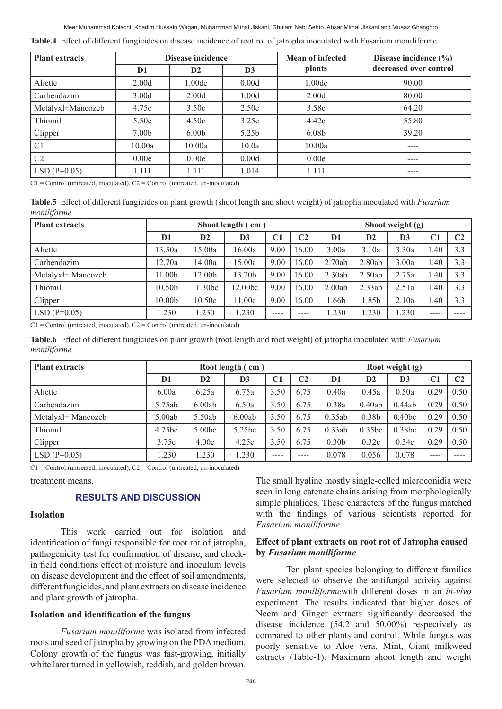#### Meer Muhammad Kolachi, Khadim Hussain Wagan, Muhammad Mithal Jiskani, Ghulam Nabi Sehto, Absar Mithal Jiskani and Muaaz Ghanghro

|  | Table.4 Effect of different fungicides on disease incidence of root rot of jatropha inoculated with Fusarium moniliforme |  |  |  |  |  |  |  |  |
|--|--------------------------------------------------------------------------------------------------------------------------|--|--|--|--|--|--|--|--|
|--|--------------------------------------------------------------------------------------------------------------------------|--|--|--|--|--|--|--|--|

| <b>Plant extracts</b> |                   | Disease incidence  |                   | <b>Mean of infected</b> | Disease incidence $(\% )$ |  |  |
|-----------------------|-------------------|--------------------|-------------------|-------------------------|---------------------------|--|--|
|                       | D <sub>1</sub>    | $\mathbf{D2}$      | $\mathbf{D}3$     | plants                  | decreased over control    |  |  |
| Aliette               | 2.00 <sub>d</sub> | 1.00 <sub>de</sub> | 0.00d             | 1.00 <sub>de</sub>      | 90.00                     |  |  |
| Carbendazim           | 3.00d             | 2.00 <sub>d</sub>  | 1.00d             | 2.00 <sub>d</sub>       | 80.00                     |  |  |
| Metalyxl+Mancozeb     | 4.75c             | 3.50c              | 2.50c             | 3.58c                   | 64.20                     |  |  |
| Thiomil               | 5.50c             | 4.50c              | 3.25c             | 4.42c                   | 55.80                     |  |  |
| Clipper               | 7.00 <sub>b</sub> | 6.00 <sub>b</sub>  | 5.25 <sub>b</sub> | 6.08 <sub>b</sub>       | 39.20                     |  |  |
| C <sub>1</sub>        | 10.00a            | 10.00a             | 10.0a             | 10.00a                  |                           |  |  |
| C <sub>2</sub>        | 0.00e             | 0.00e              | 0.00d             | 0.00e                   | ----                      |  |  |
| $LSD(P=0.05)$         | 1.111             | 1.111              | 1.014             | 1.111                   | ----                      |  |  |

 $Cl =$  Control (untreated, inoculated),  $C2 =$  Control (untreated, un-inoculated)

**Table.5** Effect of different fungicides on plant growth (shoot length and shoot weight) of jatropha inoculated with *Fusarium moniliforme*

| <b>Plant extracts</b> |         |         | Shoot length (cm) |                |                |                |        | Shoot weight (g)<br>D <sub>2</sub><br>D <sub>3</sub><br>C <sub>1</sub><br>3.30a<br>1.40<br>3.00a<br>1.40<br>2.75a<br>1.40<br>2.51a<br>1.40<br>2.10a<br>1.40 |      |                |
|-----------------------|---------|---------|-------------------|----------------|----------------|----------------|--------|-------------------------------------------------------------------------------------------------------------------------------------------------------------|------|----------------|
|                       | D1      | D2      | $\mathbf{D}3$     | C <sub>1</sub> | C <sub>2</sub> | D <sub>1</sub> |        |                                                                                                                                                             |      | C <sub>2</sub> |
| Aliette               | 13.50a  | 15.00a  | 16.00a            | 9.00           | 16.00          | 3.00a          | 3.10a  |                                                                                                                                                             |      | 3.3            |
| Carbendazim           | 12.70a  | 14.00a  | 15.00a            | 9.00           | 16.00          | 2.70ab         | 2.80ab |                                                                                                                                                             |      | 3.3            |
| Metalyxl+ Mancozeb    | l 1.00b | 12.00b  | 13.20b            | 9.00           | 16.00          | 2.30ab         | 2.50ab |                                                                                                                                                             |      | 3.3            |
| Thiomil               | 10.50b  | 11.30bc | 12.00bc           | 9.00           | 16.00          | 2.00ab         | 2.33ab |                                                                                                                                                             |      | 3.3            |
| Clipper               | 10.00b  | 10.50c  | 11.00c            | 9.00           | 16.00          | l.66b          | l.85b  |                                                                                                                                                             |      | 3.3            |
| $LSD(P=0.05)$         | 1.230   | .230    | 1.230             | $---$          | $\frac{1}{2}$  | 1.230          | .230   | 1.230                                                                                                                                                       | ---- |                |

 $Cl =$  Control (untreated, inoculated),  $Cl =$  Control (untreated, un-inoculated)

**Table.6** Effect of different fungicides on plant growth (root length and root weight) of jatropha inoculated with *Fusarium moniliforme.*

| <b>Plant extracts</b> |                |                    | Root length (cm) |      |      | Root weight (g)   |                   |                    |                |                |
|-----------------------|----------------|--------------------|------------------|------|------|-------------------|-------------------|--------------------|----------------|----------------|
|                       | D <sub>1</sub> | D2                 | D <sub>3</sub>   | C1   | C2   | D1                | D2                | D <sub>3</sub>     | C <sub>1</sub> | C <sub>2</sub> |
| Aliette               | 6.00a          | 6.25a              | 6.75a            | 3.50 | 6.75 | 0.40a             | 0.45a             | 0.50a              | 0.29           | 0.50           |
| Carbendazim           | 5.75ab         | 6.00ab             | 6.50a            | 3.50 | 6.75 | 0.38a             | 0.40ab            | 0.44ab             | 0.29           | 0.50           |
| Metalyxl+ Mancozeb    | 5.00ab         | 5.50ab             | 6.00ab           | 3.50 | 6.75 | 0.35ab            | 0.38 <sub>b</sub> | 0.40 <sub>bc</sub> | 0.29           | 0.50           |
| Thiomil               | 4.75bc         | 5.00 <sub>bc</sub> | 5.25bc           | 3.50 | 6.75 | 0.33ab            | 0.35bc            | 0.38bc             | 0.29           | 0.50           |
| Clipper               | 3.75c          | 4.00c              | 4.25c            | 3.50 | 6.75 | 0.30 <sub>b</sub> | 0.32c             | 0.34c              | 0.29           | 0.50           |
| $LSD(P=0.05)$         | 1.230          | .230               | 1.230            | ---- | ---- | 0.078             | 0.056             | 0.078              | ----           |                |

 $Cl =$  Control (untreated, inoculated),  $Cl =$  Control (untreated, un-inoculated)

treatment means.

# **RESULTS AND DISCUSSION**

## **Isolation**

This work carried out for isolation and identification of fungi responsible for root rot of jatropha, pathogenicity test for confirmation of disease, and checkin field conditions effect of moisture and inoculum levels on disease development and the effect of soil amendments, different fungicides, and plant extracts on disease incidence and plant growth of jatropha.

### **Isolation and identification of the fungus**

*Fusarium moniliforme* was isolated from infected roots and seed of jatropha by growing on the PDA medium. Colony growth of the fungus was fast-growing, initially white later turned in yellowish, reddish, and golden brown.

The small hyaline mostly single-celled microconidia were seen in long catenate chains arising from morphologically simple phialides. These characters of the fungus matched with the findings of various scientists reported for *Fusarium moniliforme.*

## **Effect of plant extracts on root rot of Jatropha caused by** *Fusarium moniliforme*

Ten plant species belonging to different families were selected to observe the antifungal activity against *Fusarium moniliforme*with different doses in an *in-vivo* experiment. The results indicated that higher doses of Neem and Ginger extracts significantly decreased the disease incidence (54.2 and 50.00%) respectively as compared to other plants and control. While fungus was poorly sensitive to Aloe vera, Mint, Giant milkweed extracts (Table-1). Maximum shoot length and weight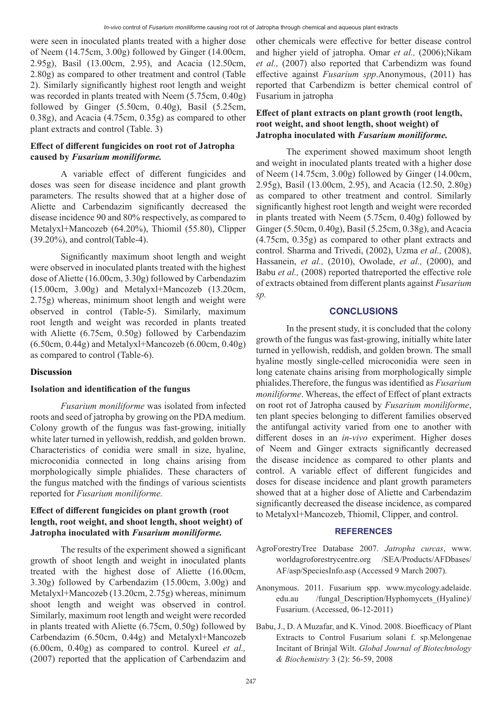were seen in inoculated plants treated with a higher dose of Neem (14.75cm, 3.00g) followed by Ginger (14.00cm, 2.95g), Basil (13.00cm, 2.95), and Acacia (12.50cm, 2.80g) as compared to other treatment and control (Table 2). Similarly significantly highest root length and weight was recorded in plants treated with Neem (5.75cm, 0.40g) followed by Ginger (5.50cm, 0.40g), Basil (5.25cm, 0.38g), and Acacia (4.75cm, 0.35g) as compared to other plant extracts and control (Table. 3)

# **Effect of different fungicides on root rot of Jatropha caused by** *Fusarium moniliforme.*

A variable effect of different fungicides and doses was seen for disease incidence and plant growth parameters. The results showed that at a higher dose of Aliette and Carbendazim significantly decreased the disease incidence 90 and 80% respectively, as compared to Metalyxl+Mancozeb (64.20%), Thiomil (55.80), Clipper (39.20%), and control(Table-4).

Significantly maximum shoot length and weight were observed in inoculated plants treated with the highest dose of Aliette (16.00cm, 3.30g) followed by Carbendazim (15.00cm, 3.00g) and Metalyxl+Mancozeb (13.20cm, 2.75g) whereas, minimum shoot length and weight were observed in control (Table-5). Similarly, maximum root length and weight was recorded in plants treated with Aliette (6.75cm, 0.50g) followed by Carbendazim  $(6.50cm, 0.44g)$  and Metalyxl+Mancozeb  $(6.00cm, 0.40g)$ as compared to control (Table-6).

#### **Discussion**

#### **Isolation and identification of the fungus**

*Fusarium moniliforme* was isolated from infected roots and seed of jatropha by growing on the PDA medium. Colony growth of the fungus was fast-growing, initially white later turned in yellowish, reddish, and golden brown. Characteristics of conidia were small in size, hyaline, microconidia connected in long chains arising from morphologically simple phialides. These characters of the fungus matched with the findings of various scientists reported for *Fusarium moniliforme.* 

# **Effect of different fungicides on plant growth (root length, root weight, and shoot length, shoot weight) of Jatropha inoculated with** *Fusarium moniliforme.*

The results of the experiment showed a significant growth of shoot length and weight in inoculated plants treated with the highest dose of Aliette (16.00cm, 3.30g) followed by Carbendazim (15.00cm, 3.00g) and Metalyxl+Mancozeb (13.20cm, 2.75g) whereas, minimum shoot length and weight was observed in control. Similarly, maximum root length and weight were recorded in plants treated with Aliette (6.75cm, 0.50g) followed by Carbendazim (6.50cm, 0.44g) and Metalyxl+Mancozeb (6.00cm, 0.40g) as compared to control. Kureel *et al.,* (2007) reported that the application of Carbendazim and other chemicals were effective for better disease control and higher yield of jatropha. Omar *et al.,* (2006);Nikam *et al.,* (2007) also reported that Carbendizm was found effective against *Fusarium spp*.Anonymous, (2011) has reported that Carbendizm is better chemical control of Fusarium in jatropha

# **Effect of plant extracts on plant growth (root length, root weight, and shoot length, shoot weight) of Jatropha inoculated with** *Fusarium moniliforme.*

The experiment showed maximum shoot length and weight in inoculated plants treated with a higher dose of Neem (14.75cm, 3.00g) followed by Ginger (14.00cm, 2.95g), Basil (13.00cm, 2.95), and Acacia (12.50, 2.80g) as compared to other treatment and control. Similarly significantly highest root length and weight were recorded in plants treated with Neem (5.75cm, 0.40g) followed by Ginger (5.50cm, 0.40g), Basil (5.25cm, 0.38g), and Acacia (4.75cm, 0.35g) as compared to other plant extracts and control. Sharma and Trivedi, (2002), Uzma *et al.,* (2008), Hassanein, *et al.,* (2010), Owolade, *et al.,* (2000), and Babu *et al.,* (2008) reported thatreported the effective role of extracts obtained from different plants against *Fusarium sp.*

# **CONCLUSIONS**

In the present study, it is concluded that the colony growth of the fungus was fast-growing, initially white later turned in yellowish, reddish, and golden brown. The small hyaline mostly single-celled microconidia were seen in long catenate chains arising from morphologically simple phialides.Therefore, the fungus was identified as *Fusarium moniliforme*. Whereas, the effect of Effect of plant extracts on root rot of Jatropha caused by *Fusarium moniliforme*, ten plant species belonging to different families observed the antifungal activity varied from one to another with different doses in an *in-vivo* experiment. Higher doses of Neem and Ginger extracts significantly decreased the disease incidence as compared to other plants and control. A variable effect of different fungicides and doses for disease incidence and plant growth parameters showed that at a higher dose of Aliette and Carbendazim significantly decreased the disease incidence, as compared to Metalyxl+Mancozeb, Thiomil, Clipper, and control.

#### **REFERENCES**

- AgroForestryTree Database 2007. *Jatropha curcas*, www. worldagroforestrycentre.org /SEA/Products/AFDbases/ AF/asp/SpeciesInfo.asp (Accessed 9 March 2007).
- Anonymous. 2011. Fusarium spp. www.mycology.adelaide. edu.au /fungal\_Description/Hyphomycets\_(Hyaline)/ Fusarium. (Accessed, 06-12-2011)
- Babu, J., D. A Muzafar, and K. Vinod. 2008. Bioefficacy of Plant Extracts to Control Fusarium solani f. sp.Melongenae Incitant of Brinjal Wilt. *Global Journal of Biotechnology & Biochemistry* 3 (2): 56-59, 2008